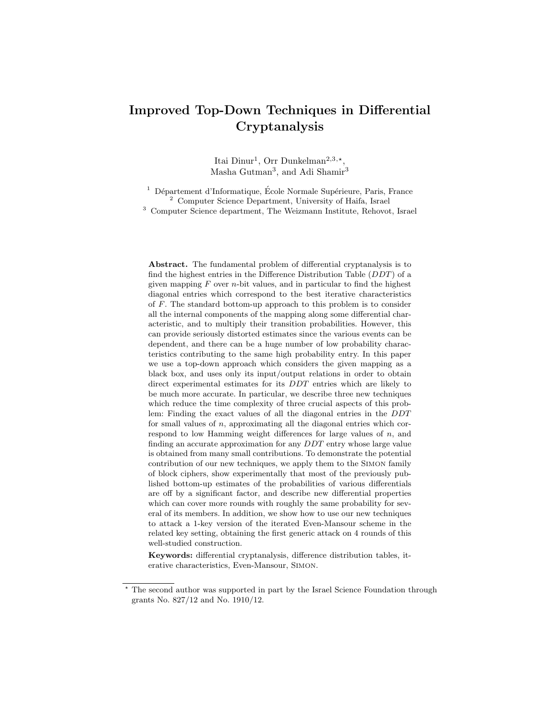# Improved Top-Down Techniques in Differential Cryptanalysis

Itai Dinur<sup>1</sup>, Orr Dunkelman<sup>2,3,\*</sup>, Masha Gutman<sup>3</sup>, and Adi Shamir<sup>3</sup>

 $1$  Département d'Informatique, École Normale Supérieure, Paris, France <sup>2</sup> Computer Science Department, University of Haifa, Israel

<sup>3</sup> Computer Science department, The Weizmann Institute, Rehovot, Israel

Abstract. The fundamental problem of differential cryptanalysis is to find the highest entries in the Difference Distribution Table  $(DDT)$  of a given mapping  $F$  over  $n$ -bit values, and in particular to find the highest diagonal entries which correspond to the best iterative characteristics of F. The standard bottom-up approach to this problem is to consider all the internal components of the mapping along some differential characteristic, and to multiply their transition probabilities. However, this can provide seriously distorted estimates since the various events can be dependent, and there can be a huge number of low probability characteristics contributing to the same high probability entry. In this paper we use a top-down approach which considers the given mapping as a black box, and uses only its input/output relations in order to obtain direct experimental estimates for its  $DDT$  entries which are likely to be much more accurate. In particular, we describe three new techniques which reduce the time complexity of three crucial aspects of this problem: Finding the exact values of all the diagonal entries in the DDT for small values of  $n$ , approximating all the diagonal entries which correspond to low Hamming weight differences for large values of  $n$ , and finding an accurate approximation for any DDT entry whose large value is obtained from many small contributions. To demonstrate the potential contribution of our new techniques, we apply them to the SIMON family of block ciphers, show experimentally that most of the previously published bottom-up estimates of the probabilities of various differentials are off by a significant factor, and describe new differential properties which can cover more rounds with roughly the same probability for several of its members. In addition, we show how to use our new techniques to attack a 1-key version of the iterated Even-Mansour scheme in the related key setting, obtaining the first generic attack on 4 rounds of this well-studied construction.

Keywords: differential cryptanalysis, difference distribution tables, iterative characteristics, Even-Mansour, SIMON.

<sup>?</sup> The second author was supported in part by the Israel Science Foundation through grants No. 827/12 and No. 1910/12.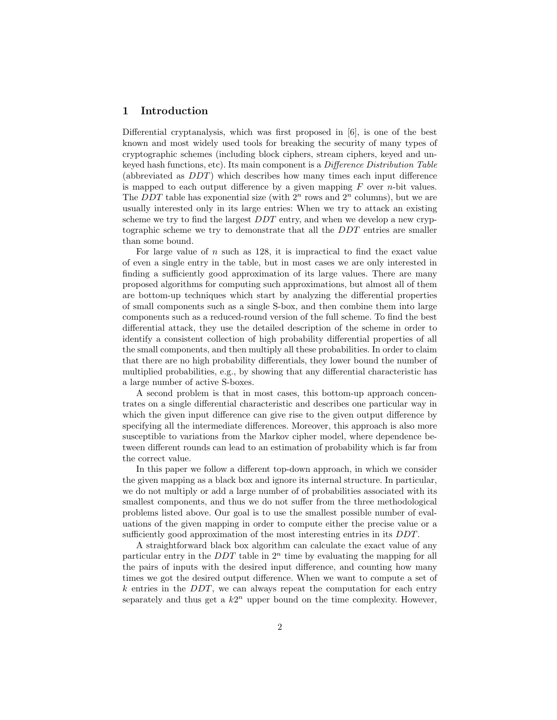#### 1 Introduction

Differential cryptanalysis, which was first proposed in [6], is one of the best known and most widely used tools for breaking the security of many types of cryptographic schemes (including block ciphers, stream ciphers, keyed and unkeyed hash functions, etc). Its main component is a Difference Distribution Table (abbreviated as DDT) which describes how many times each input difference is mapped to each output difference by a given mapping  $F$  over *n*-bit values. The  $DDT$  table has exponential size (with  $2^n$  rows and  $2^n$  columns), but we are usually interested only in its large entries: When we try to attack an existing scheme we try to find the largest  $DDT$  entry, and when we develop a new cryptographic scheme we try to demonstrate that all the DDT entries are smaller than some bound.

For large value of  $n$  such as 128, it is impractical to find the exact value of even a single entry in the table, but in most cases we are only interested in finding a sufficiently good approximation of its large values. There are many proposed algorithms for computing such approximations, but almost all of them are bottom-up techniques which start by analyzing the differential properties of small components such as a single S-box, and then combine them into large components such as a reduced-round version of the full scheme. To find the best differential attack, they use the detailed description of the scheme in order to identify a consistent collection of high probability differential properties of all the small components, and then multiply all these probabilities. In order to claim that there are no high probability differentials, they lower bound the number of multiplied probabilities, e.g., by showing that any differential characteristic has a large number of active S-boxes.

A second problem is that in most cases, this bottom-up approach concentrates on a single differential characteristic and describes one particular way in which the given input difference can give rise to the given output difference by specifying all the intermediate differences. Moreover, this approach is also more susceptible to variations from the Markov cipher model, where dependence between different rounds can lead to an estimation of probability which is far from the correct value.

In this paper we follow a different top-down approach, in which we consider the given mapping as a black box and ignore its internal structure. In particular, we do not multiply or add a large number of of probabilities associated with its smallest components, and thus we do not suffer from the three methodological problems listed above. Our goal is to use the smallest possible number of evaluations of the given mapping in order to compute either the precise value or a sufficiently good approximation of the most interesting entries in its DDT.

A straightforward black box algorithm can calculate the exact value of any particular entry in the  $DDT$  table in  $2<sup>n</sup>$  time by evaluating the mapping for all the pairs of inputs with the desired input difference, and counting how many times we got the desired output difference. When we want to compute a set of  $k$  entries in the  $DDT$ , we can always repeat the computation for each entry separately and thus get a  $k2^n$  upper bound on the time complexity. However,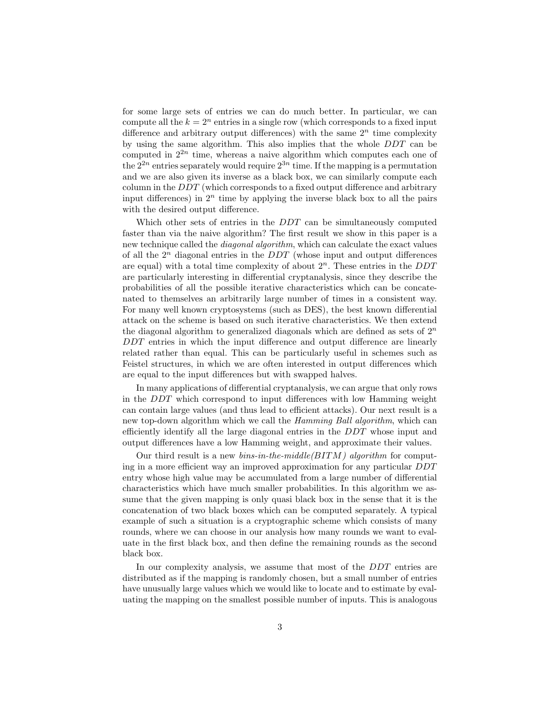for some large sets of entries we can do much better. In particular, we can compute all the  $k = 2^n$  entries in a single row (which corresponds to a fixed input difference and arbitrary output differences) with the same  $2<sup>n</sup>$  time complexity by using the same algorithm. This also implies that the whole DDT can be computed in  $2^{2n}$  time, whereas a naive algorithm which computes each one of the  $2^{2n}$  entries separately would require  $2^{3n}$  time. If the mapping is a permutation and we are also given its inverse as a black box, we can similarly compute each column in the DDT (which corresponds to a fixed output difference and arbitrary input differences) in  $2^n$  time by applying the inverse black box to all the pairs with the desired output difference.

Which other sets of entries in the DDT can be simultaneously computed faster than via the naive algorithm? The first result we show in this paper is a new technique called the *diagonal algorithm*, which can calculate the exact values of all the  $2<sup>n</sup>$  diagonal entries in the  $DDT$  (whose input and output differences are equal) with a total time complexity of about  $2<sup>n</sup>$ . These entries in the DDT are particularly interesting in differential cryptanalysis, since they describe the probabilities of all the possible iterative characteristics which can be concatenated to themselves an arbitrarily large number of times in a consistent way. For many well known cryptosystems (such as DES), the best known differential attack on the scheme is based on such iterative characteristics. We then extend the diagonal algorithm to generalized diagonals which are defined as sets of  $2^n$ DDT entries in which the input difference and output difference are linearly related rather than equal. This can be particularly useful in schemes such as Feistel structures, in which we are often interested in output differences which are equal to the input differences but with swapped halves.

In many applications of differential cryptanalysis, we can argue that only rows in the DDT which correspond to input differences with low Hamming weight can contain large values (and thus lead to efficient attacks). Our next result is a new top-down algorithm which we call the Hamming Ball algorithm, which can efficiently identify all the large diagonal entries in the DDT whose input and output differences have a low Hamming weight, and approximate their values.

Our third result is a new bins-in-the-middle( $BITM$ ) algorithm for computing in a more efficient way an improved approximation for any particular DDT entry whose high value may be accumulated from a large number of differential characteristics which have much smaller probabilities. In this algorithm we assume that the given mapping is only quasi black box in the sense that it is the concatenation of two black boxes which can be computed separately. A typical example of such a situation is a cryptographic scheme which consists of many rounds, where we can choose in our analysis how many rounds we want to evaluate in the first black box, and then define the remaining rounds as the second black box.

In our complexity analysis, we assume that most of the DDT entries are distributed as if the mapping is randomly chosen, but a small number of entries have unusually large values which we would like to locate and to estimate by evaluating the mapping on the smallest possible number of inputs. This is analogous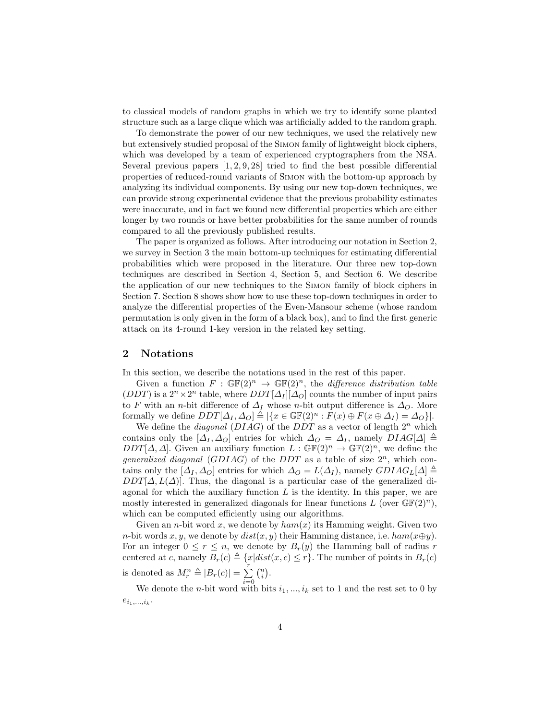to classical models of random graphs in which we try to identify some planted structure such as a large clique which was artificially added to the random graph.

To demonstrate the power of our new techniques, we used the relatively new but extensively studied proposal of the SIMON family of lightweight block ciphers, which was developed by a team of experienced cryptographers from the NSA. Several previous papers  $[1, 2, 9, 28]$  tried to find the best possible differential properties of reduced-round variants of SIMON with the bottom-up approach by analyzing its individual components. By using our new top-down techniques, we can provide strong experimental evidence that the previous probability estimates were inaccurate, and in fact we found new differential properties which are either longer by two rounds or have better probabilities for the same number of rounds compared to all the previously published results.

The paper is organized as follows. After introducing our notation in Section 2, we survey in Section 3 the main bottom-up techniques for estimating differential probabilities which were proposed in the literature. Our three new top-down techniques are described in Section 4, Section 5, and Section 6. We describe the application of our new techniques to the SIMON family of block ciphers in Section 7. Section 8 shows show how to use these top-down techniques in order to analyze the differential properties of the Even-Mansour scheme (whose random permutation is only given in the form of a black box), and to find the first generic attack on its 4-round 1-key version in the related key setting.

### 2 Notations

In this section, we describe the notations used in the rest of this paper.

Given a function  $F : \mathbb{GF}(2)^n \to \mathbb{GF}(2)^n$ , the *difference distribution table*  $(DDT)$  is a  $2^n \times 2^n$  table, where  $DDT[\Delta_I][\Delta_O]$  counts the number of input pairs to F with an n-bit difference of  $\Delta_I$  whose n-bit output difference is  $\Delta_O$ . More formally we define  $DDT[\Delta_I, \Delta_O] \triangleq |\{x \in \mathbb{GF}(2)^n : F(x) \oplus F(x \oplus \Delta_I) = \Delta_O\}|.$ 

We define the *diagonal* ( $DIAG$ ) of the  $DDT$  as a vector of length  $2<sup>n</sup>$  which contains only the  $[\Delta_I, \Delta_O]$  entries for which  $\Delta_O = \Delta_I$ , namely  $DIAG[\Delta] \triangleq$  $DDT[\Delta, \Delta]$ . Given an auxiliary function  $L : \mathbb{GF}(2)^n \to \mathbb{GF}(2)^n$ , we define the generalized diagonal (GDIAG) of the DDT as a table of size  $2^n$ , which contains only the  $[\Delta_I, \Delta_O]$  entries for which  $\Delta_O = L(\Delta_I)$ , namely  $GDIAG_L[\Delta] \triangleq$  $DDT[\Delta, L(\Delta)]$ . Thus, the diagonal is a particular case of the generalized diagonal for which the auxiliary function  $L$  is the identity. In this paper, we are mostly interested in generalized diagonals for linear functions L (over  $\mathbb{GF}(2)^n$ ), which can be computed efficiently using our algorithms.

Given an *n*-bit word x, we denote by  $ham(x)$  its Hamming weight. Given two *n*-bit words x, y, we denote by  $dist(x, y)$  their Hamming distance, i.e.  $ham(x \oplus y)$ . For an integer  $0 \le r \le n$ , we denote by  $B_r(y)$  the Hamming ball of radius r centered at c, namely  $B_r(c) \triangleq \{x|dist(x, c) \leq r\}$ . The number of points in  $B_r(c)$ is denoted as  $M_r^n \triangleq |B_r(c)| = \sum_{r=1}^{r}$  $i=0$  $\binom{n}{i}$ .

We denote the *n*-bit word with bits  $i_1, ..., i_k$  set to 1 and the rest set to 0 by  $e_{i_1,\ldots,i_k}$ .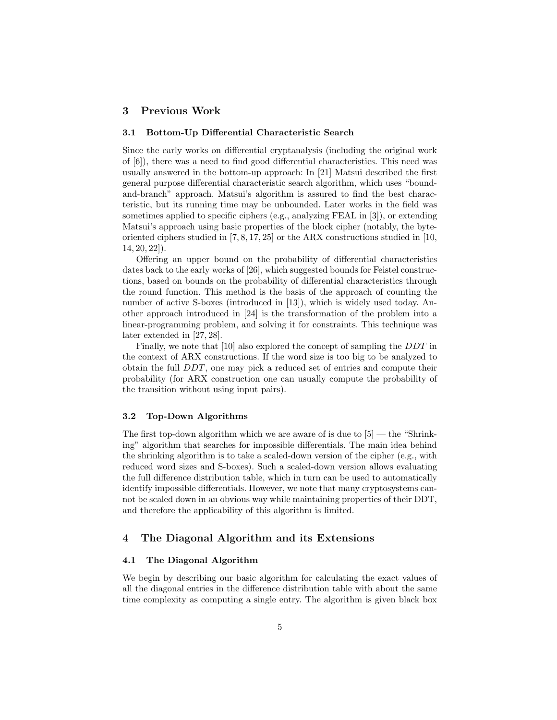## 3 Previous Work

#### 3.1 Bottom-Up Differential Characteristic Search

Since the early works on differential cryptanalysis (including the original work of [6]), there was a need to find good differential characteristics. This need was usually answered in the bottom-up approach: In [21] Matsui described the first general purpose differential characteristic search algorithm, which uses "boundand-branch" approach. Matsui's algorithm is assured to find the best characteristic, but its running time may be unbounded. Later works in the field was sometimes applied to specific ciphers (e.g., analyzing FEAL in [3]), or extending Matsui's approach using basic properties of the block cipher (notably, the byteoriented ciphers studied in [7, 8, 17, 25] or the ARX constructions studied in [10, 14, 20, 22]).

Offering an upper bound on the probability of differential characteristics dates back to the early works of [26], which suggested bounds for Feistel constructions, based on bounds on the probability of differential characteristics through the round function. This method is the basis of the approach of counting the number of active S-boxes (introduced in [13]), which is widely used today. Another approach introduced in [24] is the transformation of the problem into a linear-programming problem, and solving it for constraints. This technique was later extended in [27, 28].

Finally, we note that [10] also explored the concept of sampling the DDT in the context of ARX constructions. If the word size is too big to be analyzed to obtain the full DDT, one may pick a reduced set of entries and compute their probability (for ARX construction one can usually compute the probability of the transition without using input pairs).

#### 3.2 Top-Down Algorithms

The first top-down algorithm which we are aware of is due to  $[5]$  — the "Shrinking" algorithm that searches for impossible differentials. The main idea behind the shrinking algorithm is to take a scaled-down version of the cipher (e.g., with reduced word sizes and S-boxes). Such a scaled-down version allows evaluating the full difference distribution table, which in turn can be used to automatically identify impossible differentials. However, we note that many cryptosystems cannot be scaled down in an obvious way while maintaining properties of their DDT, and therefore the applicability of this algorithm is limited.

## 4 The Diagonal Algorithm and its Extensions

#### 4.1 The Diagonal Algorithm

We begin by describing our basic algorithm for calculating the exact values of all the diagonal entries in the difference distribution table with about the same time complexity as computing a single entry. The algorithm is given black box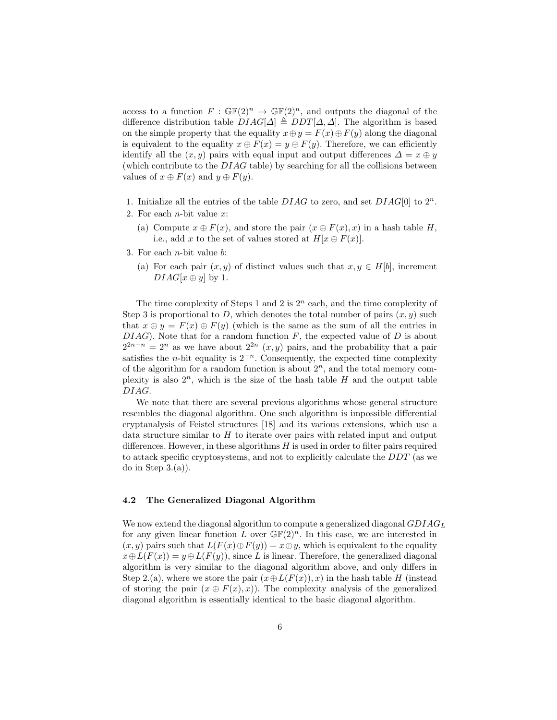access to a function  $F : \mathbb{GF}(2)^n \to \mathbb{GF}(2)^n$ , and outputs the diagonal of the difference distribution table  $DIAG[\Delta] \triangleq DDT[\Delta, \Delta]$ . The algorithm is based on the simple property that the equality  $x \oplus y = F(x) \oplus F(y)$  along the diagonal is equivalent to the equality  $x \oplus F(x) = y \oplus F(y)$ . Therefore, we can efficiently identify all the  $(x, y)$  pairs with equal input and output differences  $\Delta = x \oplus y$ (which contribute to the  $DIAG$  table) by searching for all the collisions between values of  $x \oplus F(x)$  and  $y \oplus F(y)$ .

- 1. Initialize all the entries of the table  $DIAG$  to zero, and set  $DIAG[0]$  to  $2^n$ .
- 2. For each  $n$ -bit value  $x$ :
	- (a) Compute  $x \oplus F(x)$ , and store the pair  $(x \oplus F(x), x)$  in a hash table H, i.e., add x to the set of values stored at  $H[x \oplus F(x)]$ .
- 3. For each n-bit value b:
	- (a) For each pair  $(x, y)$  of distinct values such that  $x, y \in H[b]$ , increment  $DIAG[x \oplus y]$  by 1.

The time complexity of Steps 1 and 2 is  $2^n$  each, and the time complexity of Step 3 is proportional to D, which denotes the total number of pairs  $(x, y)$  such that  $x \oplus y = F(x) \oplus F(y)$  (which is the same as the sum of all the entries in  $DIAG$ ). Note that for a random function  $F$ , the expected value of  $D$  is about  $2^{2n-n} = 2^n$  as we have about  $2^{2n} (x, y)$  pairs, and the probability that a pair satisfies the *n*-bit equality is  $2^{-n}$ . Consequently, the expected time complexity of the algorithm for a random function is about  $2<sup>n</sup>$ , and the total memory complexity is also  $2^n$ , which is the size of the hash table H and the output table DIAG.

We note that there are several previous algorithms whose general structure resembles the diagonal algorithm. One such algorithm is impossible differential cryptanalysis of Feistel structures [18] and its various extensions, which use a data structure similar to  $H$  to iterate over pairs with related input and output differences. However, in these algorithms  $H$  is used in order to filter pairs required to attack specific cryptosystems, and not to explicitly calculate the DDT (as we do in Step  $3.(a)$ ).

### 4.2 The Generalized Diagonal Algorithm

We now extend the diagonal algorithm to compute a generalized diagonal  $GDIAG_L$ for any given linear function L over  $\mathbb{GF}(2)^n$ . In this case, we are interested in  $(x, y)$  pairs such that  $L(F(x) \oplus F(y)) = x \oplus y$ , which is equivalent to the equality  $x \oplus L(F(x)) = y \oplus L(F(y))$ , since L is linear. Therefore, the generalized diagonal algorithm is very similar to the diagonal algorithm above, and only differs in Step 2.(a), where we store the pair  $(x \oplus L(F(x)), x)$  in the hash table H (instead of storing the pair  $(x \oplus F(x), x)$ . The complexity analysis of the generalized diagonal algorithm is essentially identical to the basic diagonal algorithm.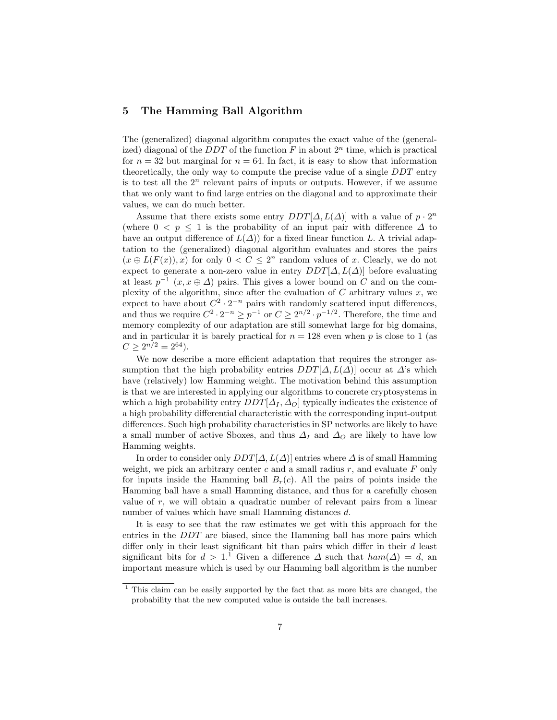## 5 The Hamming Ball Algorithm

The (generalized) diagonal algorithm computes the exact value of the (generalized) diagonal of the  $DDT$  of the function F in about  $2<sup>n</sup>$  time, which is practical for  $n = 32$  but marginal for  $n = 64$ . In fact, it is easy to show that information theoretically, the only way to compute the precise value of a single DDT entry is to test all the  $2^n$  relevant pairs of inputs or outputs. However, if we assume that we only want to find large entries on the diagonal and to approximate their values, we can do much better.

Assume that there exists some entry  $DDT[\Delta, L(\Delta)]$  with a value of  $p \cdot 2^n$ (where  $0 \leq p \leq 1$  is the probability of an input pair with difference  $\Delta$  to have an output difference of  $L(\Delta)$  for a fixed linear function L. A trivial adaptation to the (generalized) diagonal algorithm evaluates and stores the pairs  $(x \oplus L(F(x)), x)$  for only  $0 < C \leq 2^n$  random values of x. Clearly, we do not expect to generate a non-zero value in entry  $DDT[\Delta, L(\Delta)]$  before evaluating at least  $p^{-1}(x, x \oplus \Delta)$  pairs. This gives a lower bound on C and on the complexity of the algorithm, since after the evaluation of  $C$  arbitrary values  $x$ , we expect to have about  $C^2 \cdot 2^{-n}$  pairs with randomly scattered input differences, and thus we require  $C^2 \cdot 2^{-n} \ge p^{-1}$  or  $C \ge 2^{n/2} \cdot p^{-1/2}$ . Therefore, the time and memory complexity of our adaptation are still somewhat large for big domains, and in particular it is barely practical for  $n = 128$  even when p is close to 1 (as  $C \geq 2^{n/2} = 2^{64}$ .

We now describe a more efficient adaptation that requires the stronger assumption that the high probability entries  $DDT[\Delta, L(\Delta)]$  occur at  $\Delta$ 's which have (relatively) low Hamming weight. The motivation behind this assumption is that we are interested in applying our algorithms to concrete cryptosystems in which a high probability entry  $DDT[\Delta_I, \Delta_O]$  typically indicates the existence of a high probability differential characteristic with the corresponding input-output differences. Such high probability characteristics in SP networks are likely to have a small number of active Sboxes, and thus  $\Delta_I$  and  $\Delta_O$  are likely to have low Hamming weights.

In order to consider only  $DDT[\Delta, L(\Delta)]$  entries where  $\Delta$  is of small Hamming weight, we pick an arbitrary center  $c$  and a small radius  $r$ , and evaluate  $F$  only for inputs inside the Hamming ball  $B<sub>r</sub>(c)$ . All the pairs of points inside the Hamming ball have a small Hamming distance, and thus for a carefully chosen value of r, we will obtain a quadratic number of relevant pairs from a linear number of values which have small Hamming distances d.

It is easy to see that the raw estimates we get with this approach for the entries in the DDT are biased, since the Hamming ball has more pairs which differ only in their least significant bit than pairs which differ in their  $d$  least significant bits for  $d > 1$ .<sup>1</sup> Given a difference  $\Delta$  such that  $ham(\Delta) = d$ , an important measure which is used by our Hamming ball algorithm is the number

<sup>&</sup>lt;sup>1</sup> This claim can be easily supported by the fact that as more bits are changed, the probability that the new computed value is outside the ball increases.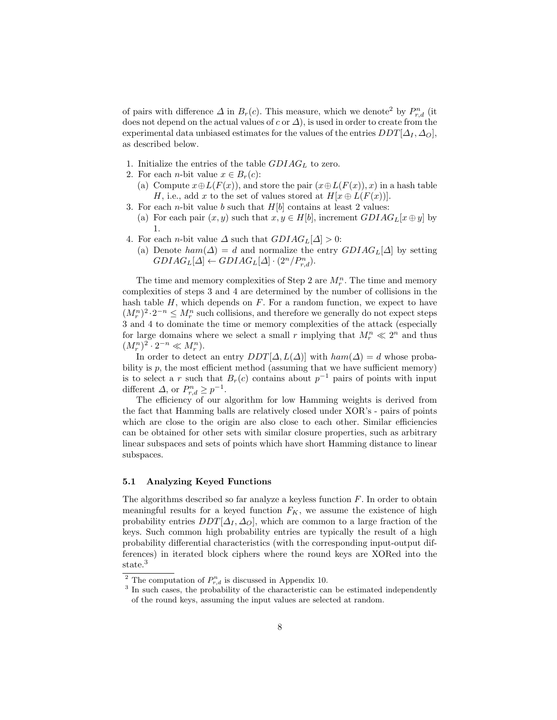of pairs with difference  $\Delta$  in  $B_r(c)$ . This measure, which we denote<sup>2</sup> by  $P_{r,d}^n$  (it does not depend on the actual values of c or  $\Delta$ ), is used in order to create from the experimental data unbiased estimates for the values of the entries  $DDT[\Delta_I, \Delta_O],$ as described below.

- 1. Initialize the entries of the table  $GDIAG_L$  to zero.
- 2. For each *n*-bit value  $x \in B_r(c)$ :

1.

- (a) Compute  $x \oplus L(F(x))$ , and store the pair  $(x \oplus L(F(x)), x)$  in a hash table H, i.e., add x to the set of values stored at  $H[x \oplus L(F(x))]$ .
- 3. For each *n*-bit value *b* such that  $H[b]$  contains at least 2 values: (a) For each pair  $(x, y)$  such that  $x, y \in H[b]$ , increment  $GDIAG_L[x \oplus y]$  by
- 4. For each *n*-bit value  $\Delta$  such that  $GDIAG_L[\Delta] > 0$ :
	- (a) Denote  $ham(\Delta) = d$  and normalize the entry  $GDIAG_L[\Delta]$  by setting  $GDIAG_L[\Delta] \leftarrow GDIAG_L[\Delta] \cdot (2^n/P_{r,d}^n).$

The time and memory complexities of Step 2 are  $M_r^n$ . The time and memory complexities of steps 3 and 4 are determined by the number of collisions in the hash table  $H$ , which depends on  $F$ . For a random function, we expect to have  $(M_r^n)^2 \cdot 2^{-n} \leq M_r^n$  such collisions, and therefore we generally do not expect steps 3 and 4 to dominate the time or memory complexities of the attack (especially for large domains where we select a small r implying that  $M_r^n \ll 2^n$  and thus  $(M_r^n)^2 \cdot 2^{-n} \ll M_r^n$ .

In order to detect an entry  $DDT[\Delta, L(\Delta)]$  with  $ham(\Delta) = d$  whose probability is  $p$ , the most efficient method (assuming that we have sufficient memory) is to select a r such that  $B_r(c)$  contains about  $p^{-1}$  pairs of points with input different  $\Delta$ , or  $P_{r,d}^n \ge p^{-1}$ .

The efficiency of our algorithm for low Hamming weights is derived from the fact that Hamming balls are relatively closed under XOR's - pairs of points which are close to the origin are also close to each other. Similar efficiencies can be obtained for other sets with similar closure properties, such as arbitrary linear subspaces and sets of points which have short Hamming distance to linear subspaces.

#### 5.1 Analyzing Keyed Functions

The algorithms described so far analyze a keyless function  $F$ . In order to obtain meaningful results for a keyed function  $F_K$ , we assume the existence of high probability entries  $DDT[\Delta_I, \Delta_O]$ , which are common to a large fraction of the keys. Such common high probability entries are typically the result of a high probability differential characteristics (with the corresponding input-output differences) in iterated block ciphers where the round keys are XORed into the state.<sup>3</sup>

<sup>&</sup>lt;sup>2</sup> The computation of  $P_{r,d}^n$  is discussed in Appendix 10.

<sup>&</sup>lt;sup>3</sup> In such cases, the probability of the characteristic can be estimated independently of the round keys, assuming the input values are selected at random.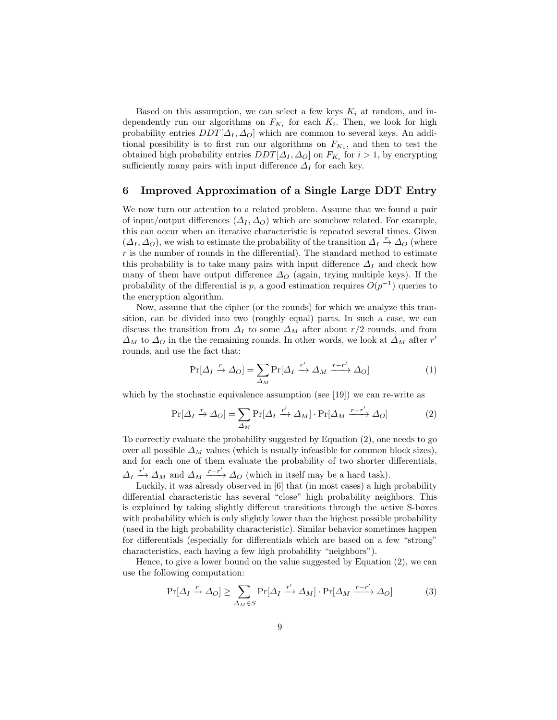Based on this assumption, we can select a few keys  $K_i$  at random, and independently run our algorithms on  $F_{K_i}$  for each  $K_i$ . Then, we look for high probability entries  $DDT[\Delta_I, \Delta_O]$  which are common to several keys. An additional possibility is to first run our algorithms on  $F_{K_1}$ , and then to test the obtained high probability entries  $DDT[\Delta_I, \Delta_O]$  on  $F_{K_i}$  for  $i > 1$ , by encrypting sufficiently many pairs with input difference  $\Delta_I$  for each key.

#### 6 Improved Approximation of a Single Large DDT Entry

We now turn our attention to a related problem. Assume that we found a pair of input/output differences  $(\Delta_I, \Delta_O)$  which are somehow related. For example, this can occur when an iterative characteristic is repeated several times. Given  $(\Delta_I, \Delta_O)$ , we wish to estimate the probability of the transition  $\Delta_I \stackrel{r}{\to} \Delta_O$  (where  $r$  is the number of rounds in the differential). The standard method to estimate this probability is to take many pairs with input difference  $\Delta_I$  and check how many of them have output difference  $\Delta_{\mathcal{O}}$  (again, trying multiple keys). If the probability of the differential is p, a good estimation requires  $O(p^{-1})$  queries to the encryption algorithm.

Now, assume that the cipher (or the rounds) for which we analyze this transition, can be divided into two (roughly equal) parts. In such a case, we can discuss the transition from  $\Delta_I$  to some  $\Delta_M$  after about  $r/2$  rounds, and from  $\Delta_M$  to  $\Delta_O$  in the the remaining rounds. In other words, we look at  $\Delta_M$  after r' rounds, and use the fact that:

$$
\Pr[\Delta_I \xrightarrow{r} \Delta_O] = \sum_{\Delta_M} \Pr[\Delta_I \xrightarrow{r'} \Delta_M \xrightarrow{r-r'} \Delta_O]
$$
 (1)

which by the stochastic equivalence assumption (see [19]) we can re-write as

$$
\Pr[\Delta_I \xrightarrow{r} \Delta_O] = \sum_{\Delta_M} \Pr[\Delta_I \xrightarrow{r'} \Delta_M] \cdot \Pr[\Delta_M \xrightarrow{r-r'} \Delta_O]
$$
 (2)

To correctly evaluate the probability suggested by Equation (2), one needs to go over all possible  $\Delta_M$  values (which is usually infeasible for common block sizes), and for each one of them evaluate the probability of two shorter differentials,  $\Delta_I \stackrel{r'}{\rightarrow} \Delta_M$  and  $\Delta_M \stackrel{r-r'}{\rightarrow} \Delta_O$  (which in itself may be a hard task).

Luckily, it was already observed in [6] that (in most cases) a high probability differential characteristic has several "close" high probability neighbors. This is explained by taking slightly different transitions through the active S-boxes with probability which is only slightly lower than the highest possible probability (used in the high probability characteristic). Similar behavior sometimes happen for differentials (especially for differentials which are based on a few "strong" characteristics, each having a few high probability "neighbors").

Hence, to give a lower bound on the value suggested by Equation (2), we can use the following computation:

$$
\Pr[\Delta_I \xrightarrow{r} \Delta_O] \ge \sum_{\Delta_M \in S} \Pr[\Delta_I \xrightarrow{r'} \Delta_M] \cdot \Pr[\Delta_M \xrightarrow{r-r'} \Delta_O]
$$
 (3)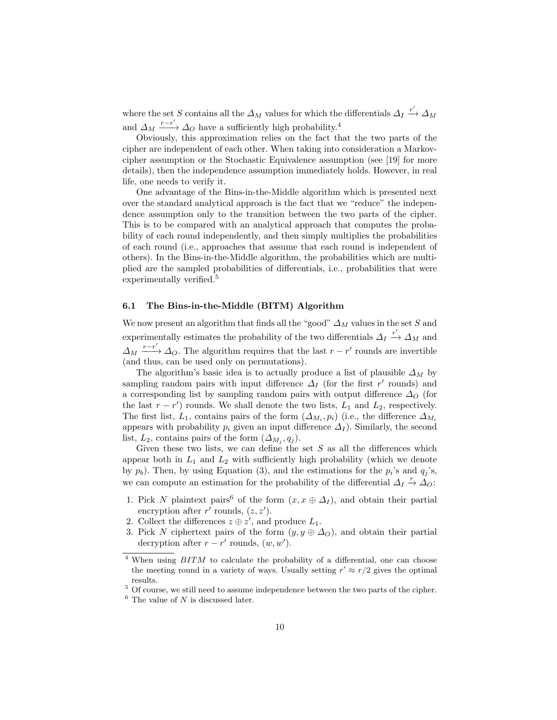where the set S contains all the  $\Delta_M$  values for which the differentials  $\Delta_I \stackrel{r'}{\rightarrow} \Delta_M$ and  $\Delta_M \xrightarrow{r-r'} \Delta_O$  have a sufficiently high probability.<sup>4</sup>

Obviously, this approximation relies on the fact that the two parts of the cipher are independent of each other. When taking into consideration a Markovcipher assumption or the Stochastic Equivalence assumption (see [19] for more details), then the independence assumption immediately holds. However, in real life, one needs to verify it.

One advantage of the Bins-in-the-Middle algorithm which is presented next over the standard analytical approach is the fact that we "reduce" the independence assumption only to the transition between the two parts of the cipher. This is to be compared with an analytical approach that computes the probability of each round independently, and then simply multiplies the probabilities of each round (i.e., approaches that assume that each round is independent of others). In the Bins-in-the-Middle algorithm, the probabilities which are multiplied are the sampled probabilities of differentials, i.e., probabilities that were experimentally verified.<sup>5</sup>

#### 6.1 The Bins-in-the-Middle (BITM) Algorithm

We now present an algorithm that finds all the "good"  $\Delta_M$  values in the set S and experimentally estimates the probability of the two differentials  $\Delta_I \stackrel{r'}{\rightarrow} \Delta_M$  and  $\Delta_M \xrightarrow{r-r'} \Delta_O$ . The algorithm requires that the last  $r - r'$  rounds are invertible (and thus, can be used only on permutations).

The algorithm's basic idea is to actually produce a list of plausible  $\Delta_M$  by sampling random pairs with input difference  $\Delta_I$  (for the first r' rounds) and a corresponding list by sampling random pairs with output difference  $\Delta$ <sup>O</sup> (for the last  $r - r'$ ) rounds. We shall denote the two lists,  $L_1$  and  $L_2$ , respectively. The first list,  $L_1$ , contains pairs of the form  $(\Delta_{M_i}, p_i)$  (i.e., the difference  $\Delta_{M_i}$ appears with probability  $p_i$  given an input difference  $\Delta_I$ ). Similarly, the second list,  $L_2$ , contains pairs of the form  $(\Delta_{M_j}, q_j)$ .

Given these two lists, we can define the set  $S$  as all the differences which appear both in  $L_1$  and  $L_2$  with sufficiently high probability (which we denote by  $p_b$ ). Then, by using Equation (3), and the estimations for the  $p_i$ 's and  $q_j$ 's, we can compute an estimation for the probability of the differential  $\Delta_I \stackrel{r}{\to} \Delta_O$ :

- 1. Pick N plaintext pairs<sup>6</sup> of the form  $(x, x \oplus \Delta_I)$ , and obtain their partial encryption after  $r'$  rounds,  $(z, z')$ .
- 2. Collect the differences  $z \oplus z'$ , and produce  $L_1$ .
- 3. Pick N ciphertext pairs of the form  $(y, y \oplus \Delta_O)$ , and obtain their partial decryption after  $r - r'$  rounds,  $(w, w')$ .

<sup>&</sup>lt;sup>4</sup> When using  $BITM$  to calculate the probability of a differential, one can choose the meeting round in a variety of ways. Usually setting  $r' \approx r/2$  gives the optimal results.

<sup>5</sup> Of course, we still need to assume independence between the two parts of the cipher.

 $6$  The value of N is discussed later.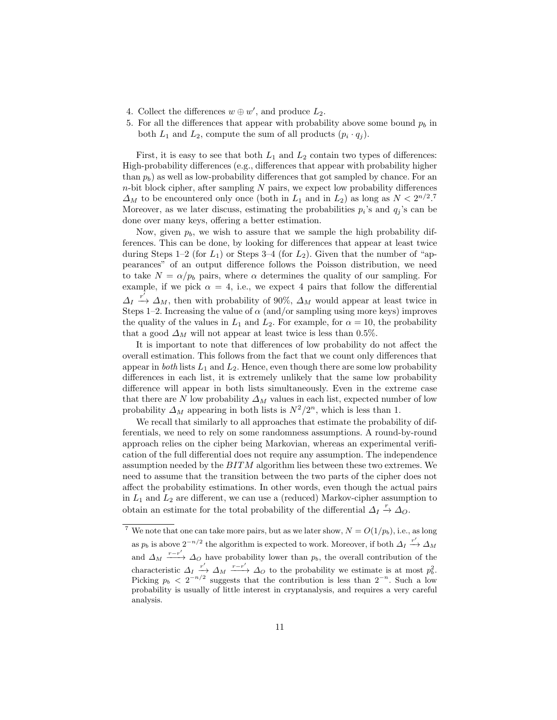- 4. Collect the differences  $w \oplus w'$ , and produce  $L_2$ .
- 5. For all the differences that appear with probability above some bound  $p_b$  in both  $L_1$  and  $L_2$ , compute the sum of all products  $(p_i \cdot q_j)$ .

First, it is easy to see that both  $L_1$  and  $L_2$  contain two types of differences: High-probability differences (e.g., differences that appear with probability higher than  $p<sub>b</sub>$ ) as well as low-probability differences that got sampled by chance. For an  $n$ -bit block cipher, after sampling  $N$  pairs, we expect low probability differences  $\Delta_M$  to be encountered only once (both in  $L_1$  and in  $L_2$ ) as long as  $N < 2^{n/2}$ .<sup>7</sup> Moreover, as we later discuss, estimating the probabilities  $p_i$ 's and  $q_j$ 's can be done over many keys, offering a better estimation.

Now, given  $p_b$ , we wish to assure that we sample the high probability differences. This can be done, by looking for differences that appear at least twice during Steps  $1-2$  (for  $L_1$ ) or Steps  $3-4$  (for  $L_2$ ). Given that the number of "appearances" of an output difference follows the Poisson distribution, we need to take  $N = \alpha/p_b$  pairs, where  $\alpha$  determines the quality of our sampling. For example, if we pick  $\alpha = 4$ , i.e., we expect 4 pairs that follow the differential  $\Delta_I \stackrel{r'}{\rightarrow} \Delta_M$ , then with probability of 90%,  $\Delta_M$  would appear at least twice in Steps 1–2. Increasing the value of  $\alpha$  (and/or sampling using more keys) improves the quality of the values in  $L_1$  and  $L_2$ . For example, for  $\alpha = 10$ , the probability that a good  $\Delta_M$  will not appear at least twice is less than 0.5%.

It is important to note that differences of low probability do not affect the overall estimation. This follows from the fact that we count only differences that appear in both lists  $L_1$  and  $L_2$ . Hence, even though there are some low probability differences in each list, it is extremely unlikely that the same low probability difference will appear in both lists simultaneously. Even in the extreme case that there are N low probability  $\Delta_M$  values in each list, expected number of low probability  $\Delta_M$  appearing in both lists is  $N^2/2^n$ , which is less than 1.

We recall that similarly to all approaches that estimate the probability of differentials, we need to rely on some randomness assumptions. A round-by-round approach relies on the cipher being Markovian, whereas an experimental verification of the full differential does not require any assumption. The independence assumption needed by the BITM algorithm lies between these two extremes. We need to assume that the transition between the two parts of the cipher does not affect the probability estimations. In other words, even though the actual pairs in  $L_1$  and  $L_2$  are different, we can use a (reduced) Markov-cipher assumption to obtain an estimate for the total probability of the differential  $\Delta_I \stackrel{r}{\to} \Delta_O$ .

<sup>&</sup>lt;sup>7</sup> We note that one can take more pairs, but as we later show,  $N = O(1/p_b)$ , i.e., as long as  $p_b$  is above  $2^{-n/2}$  the algorithm is expected to work. Moreover, if both  $\Delta_I \stackrel{r'}{\rightarrow} \Delta_M$ and  $\Delta_M \xrightarrow{r-r'} \Delta_O$  have probability lower than  $p_b$ , the overall contribution of the characteristic  $\Delta_I \stackrel{r'}{\longrightarrow} \Delta_M \stackrel{r-r'}{\longrightarrow} \Delta_O$  to the probability we estimate is at most  $p_b^2$ . Picking  $p_b < 2^{-n/2}$  suggests that the contribution is less than  $2^{-n}$ . Such a low probability is usually of little interest in cryptanalysis, and requires a very careful analysis.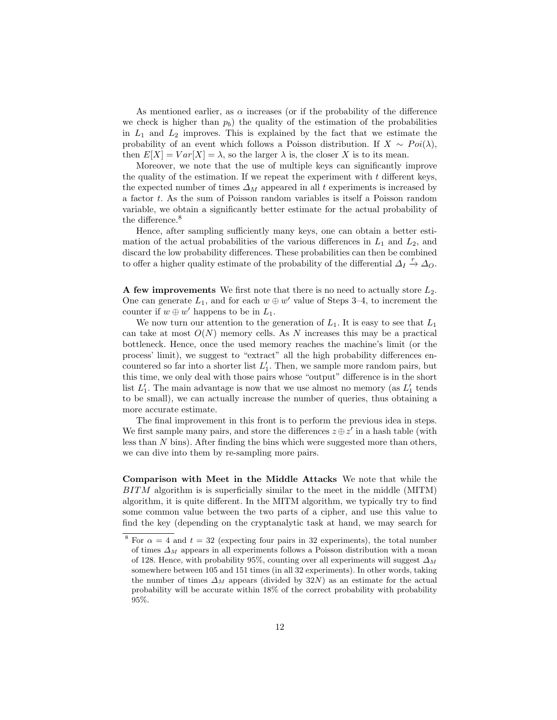As mentioned earlier, as  $\alpha$  increases (or if the probability of the difference we check is higher than  $p<sub>b</sub>$ ) the quality of the estimation of the probabilities in  $L_1$  and  $L_2$  improves. This is explained by the fact that we estimate the probability of an event which follows a Poisson distribution. If  $X \sim Poi(\lambda)$ , then  $E[X] = Var[X] = \lambda$ , so the larger  $\lambda$  is, the closer X is to its mean.

Moreover, we note that the use of multiple keys can significantly improve the quality of the estimation. If we repeat the experiment with  $t$  different keys, the expected number of times  $\Delta_M$  appeared in all t experiments is increased by a factor t. As the sum of Poisson random variables is itself a Poisson random variable, we obtain a significantly better estimate for the actual probability of the difference.<sup>8</sup>

Hence, after sampling sufficiently many keys, one can obtain a better estimation of the actual probabilities of the various differences in  $L_1$  and  $L_2$ , and discard the low probability differences. These probabilities can then be combined to offer a higher quality estimate of the probability of the differential  $\Delta_I \stackrel{r}{\to} \Delta_O$ .

A few improvements We first note that there is no need to actually store  $L_2$ . One can generate  $L_1$ , and for each  $w \oplus w'$  value of Steps 3–4, to increment the counter if  $w \oplus w'$  happens to be in  $L_1$ .

We now turn our attention to the generation of  $L_1$ . It is easy to see that  $L_1$ can take at most  $O(N)$  memory cells. As N increases this may be a practical bottleneck. Hence, once the used memory reaches the machine's limit (or the process' limit), we suggest to "extract" all the high probability differences encountered so far into a shorter list  $L'_1$ . Then, we sample more random pairs, but this time, we only deal with those pairs whose "output" difference is in the short list  $L'_1$ . The main advantage is now that we use almost no memory (as  $L'_1$  tends to be small), we can actually increase the number of queries, thus obtaining a more accurate estimate.

The final improvement in this front is to perform the previous idea in steps. We first sample many pairs, and store the differences  $z \oplus z'$  in a hash table (with less than N bins). After finding the bins which were suggested more than others, we can dive into them by re-sampling more pairs.

Comparison with Meet in the Middle Attacks We note that while the  $BITM$  algorithm is is superficially similar to the meet in the middle (MITM) algorithm, it is quite different. In the MITM algorithm, we typically try to find some common value between the two parts of a cipher, and use this value to find the key (depending on the cryptanalytic task at hand, we may search for

<sup>&</sup>lt;sup>8</sup> For  $\alpha = 4$  and  $t = 32$  (expecting four pairs in 32 experiments), the total number of times  $\Delta_M$  appears in all experiments follows a Poisson distribution with a mean of 128. Hence, with probability 95%, counting over all experiments will suggest  $\Delta_M$ somewhere between 105 and 151 times (in all 32 experiments). In other words, taking the number of times  $\Delta_M$  appears (divided by 32N) as an estimate for the actual probability will be accurate within 18% of the correct probability with probability 95%.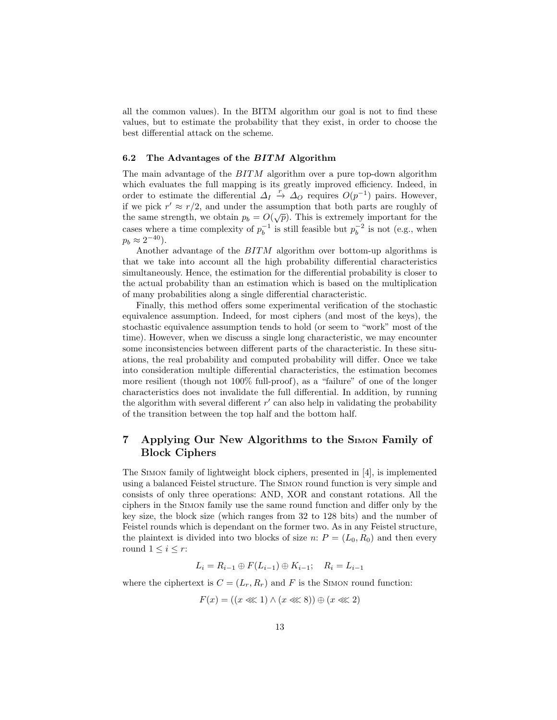all the common values). In the BITM algorithm our goal is not to find these values, but to estimate the probability that they exist, in order to choose the best differential attack on the scheme.

#### 6.2 The Advantages of the BITM Algorithm

The main advantage of the BITM algorithm over a pure top-down algorithm which evaluates the full mapping is its greatly improved efficiency. Indeed, in order to estimate the differential  $\Delta_I \stackrel{r}{\to} \Delta_O$  requires  $O(p^{-1})$  pairs. However, if we pick  $r' \approx r/2$ , and under the assumption that both parts are roughly of the same strength, we obtain  $p_b = O(\sqrt{p})$ . This is extremely important for the cases where a time complexity of  $p_b^{-1}$  is still feasible but  $p_b^{-2}$  is not (e.g., when  $p_b \approx 2^{-40}$ ).

Another advantage of the BITM algorithm over bottom-up algorithms is that we take into account all the high probability differential characteristics simultaneously. Hence, the estimation for the differential probability is closer to the actual probability than an estimation which is based on the multiplication of many probabilities along a single differential characteristic.

Finally, this method offers some experimental verification of the stochastic equivalence assumption. Indeed, for most ciphers (and most of the keys), the stochastic equivalence assumption tends to hold (or seem to "work" most of the time). However, when we discuss a single long characteristic, we may encounter some inconsistencies between different parts of the characteristic. In these situations, the real probability and computed probability will differ. Once we take into consideration multiple differential characteristics, the estimation becomes more resilient (though not 100% full-proof), as a "failure" of one of the longer characteristics does not invalidate the full differential. In addition, by running the algorithm with several different  $r'$  can also help in validating the probability of the transition between the top half and the bottom half.

## 7 Applying Our New Algorithms to the SIMON Family of Block Ciphers

The SIMON family of lightweight block ciphers, presented in [4], is implemented using a balanced Feistel structure. The SIMON round function is very simple and consists of only three operations: AND, XOR and constant rotations. All the ciphers in the SIMON family use the same round function and differ only by the key size, the block size (which ranges from 32 to 128 bits) and the number of Feistel rounds which is dependant on the former two. As in any Feistel structure, the plaintext is divided into two blocks of size n:  $P = (L_0, R_0)$  and then every round  $1 \leq i \leq r$ :

$$
L_i = R_{i-1} \oplus F(L_{i-1}) \oplus K_{i-1}; \quad R_i = L_{i-1}
$$

where the ciphertext is  $C = (L_r, R_r)$  and F is the SIMON round function:

$$
F(x) = ((x \lll 1) \land (x \lll 8)) \oplus (x \lll 2)
$$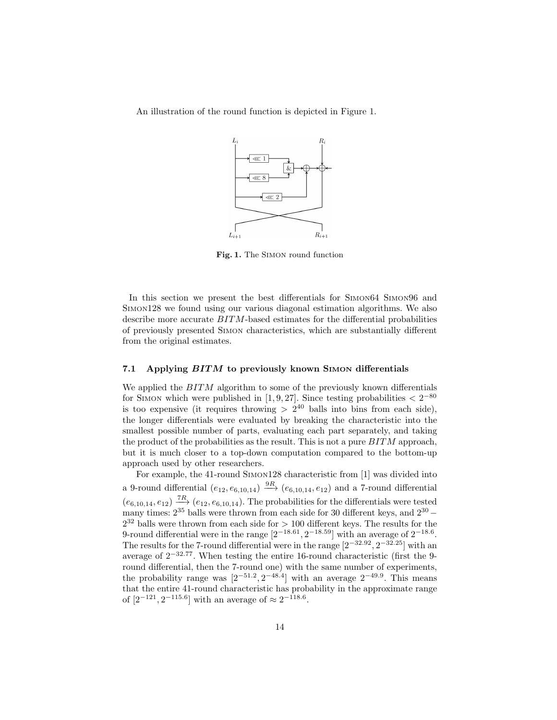An illustration of the round function is depicted in Figure 1.



Fig. 1. The SIMON round function

In this section we present the best differentials for SIMON64 SIMON96 and SIMON128 we found using our various diagonal estimation algorithms. We also describe more accurate BITM-based estimates for the differential probabilities of previously presented SIMON characteristics, which are substantially different from the original estimates.

#### 7.1 Applying BITM to previously known SIMON differentials

We applied the  $BITM$  algorithm to some of the previously known differentials for SIMON which were published in [1, 9, 27]. Since testing probabilities  $\langle 2^{-80} \rangle$ is too expensive (it requires throwing  $> 2^{40}$  balls into bins from each side), the longer differentials were evaluated by breaking the characteristic into the smallest possible number of parts, evaluating each part separately, and taking the product of the probabilities as the result. This is not a pure  $BITM$  approach, but it is much closer to a top-down computation compared to the bottom-up approach used by other researchers.

For example, the 41-round SIMON128 characteristic from [1] was divided into a 9-round differential  $(e_{12}, e_{6,10,14}) \stackrel{9R}{\longrightarrow} (e_{6,10,14}, e_{12})$  and a 7-round differential  $(e_{6,10,14}, e_{12}) \stackrel{7R}{\longrightarrow} (e_{12}, e_{6,10,14})$ . The probabilities for the differentials were tested many times:  $2^{35}$  balls were thrown from each side for 30 different keys, and  $2^{30}$  –  $2^{32}$  balls were thrown from each side for  $> 100$  different keys. The results for the 9-round differential were in the range  $[2^{-18.61}, 2^{-18.59}]$  with an average of  $2^{-18.6}$ . The results for the 7-round differential were in the range  $[2^{-32.92}, 2^{-32.25}]$  with an average of 2<sup>−</sup>32.<sup>77</sup>. When testing the entire 16-round characteristic (first the 9 round differential, then the 7-round one) with the same number of experiments, the probability range was  $[2^{-51.2}, 2^{-48.4}]$  with an average  $2^{-49.9}$ . This means that the entire 41-round characteristic has probability in the approximate range of  $[2^{-121}, 2^{-115.6}]$  with an average of ≈  $2^{-118.6}$ .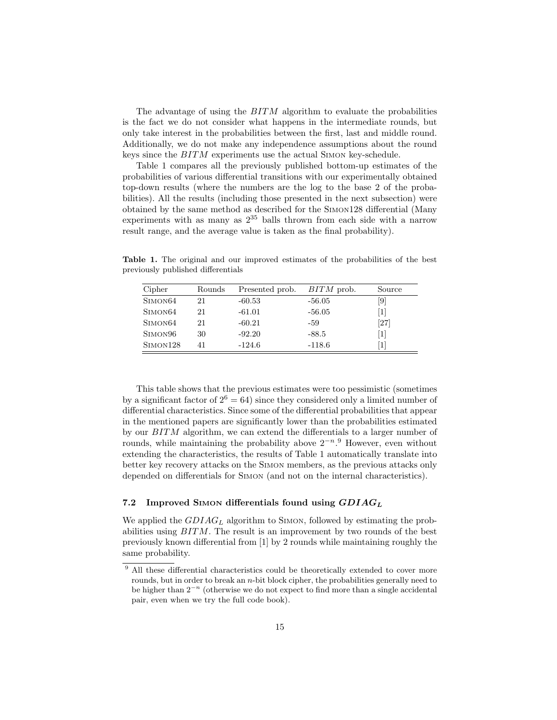The advantage of using the  $BITM$  algorithm to evaluate the probabilities is the fact we do not consider what happens in the intermediate rounds, but only take interest in the probabilities between the first, last and middle round. Additionally, we do not make any independence assumptions about the round keys since the BITM experiments use the actual SIMON key-schedule.

Table 1 compares all the previously published bottom-up estimates of the probabilities of various differential transitions with our experimentally obtained top-down results (where the numbers are the log to the base 2 of the probabilities). All the results (including those presented in the next subsection) were obtained by the same method as described for the SIMON128 differential (Many experiments with as many as  $2^{35}$  balls thrown from each side with a narrow result range, and the average value is taken as the final probability).

| Cipher               | Rounds | Presented prob. | $BITM$ prob. | Source             |
|----------------------|--------|-----------------|--------------|--------------------|
| SIMON <sub>64</sub>  | 21     | $-60.53$        | -56.05       | 9                  |
| SIMON <sub>64</sub>  | 21     | $-61.01$        | $-56.05$     | 1                  |
| SIMON <sub>64</sub>  | 21     | $-60.21$        | -59          | $\left[ 27\right]$ |
| SIMON <sub>96</sub>  | 30     | $-92.20$        | $-88.5$      | 1                  |
| SIMON <sub>128</sub> | 41     | $-124.6$        | $-118.6$     | T                  |

Table 1. The original and our improved estimates of the probabilities of the best previously published differentials

This table shows that the previous estimates were too pessimistic (sometimes by a significant factor of  $2^6 = 64$ ) since they considered only a limited number of differential characteristics. Since some of the differential probabilities that appear in the mentioned papers are significantly lower than the probabilities estimated by our BITM algorithm, we can extend the differentials to a larger number of rounds, while maintaining the probability above  $2^{-n}$ .<sup>9</sup> However, even without extending the characteristics, the results of Table 1 automatically translate into better key recovery attacks on the SIMON members, as the previous attacks only depended on differentials for SIMON (and not on the internal characteristics).

#### 7.2 Improved SIMON differentials found using  $GDIAG_L$

We applied the  $GDIAG_L$  algorithm to SIMON, followed by estimating the probabilities using BITM. The result is an improvement by two rounds of the best previously known differential from [1] by 2 rounds while maintaining roughly the same probability.

<sup>&</sup>lt;sup>9</sup> All these differential characteristics could be theoretically extended to cover more rounds, but in order to break an  $n$ -bit block cipher, the probabilities generally need to be higher than  $2^{-n}$  (otherwise we do not expect to find more than a single accidental pair, even when we try the full code book).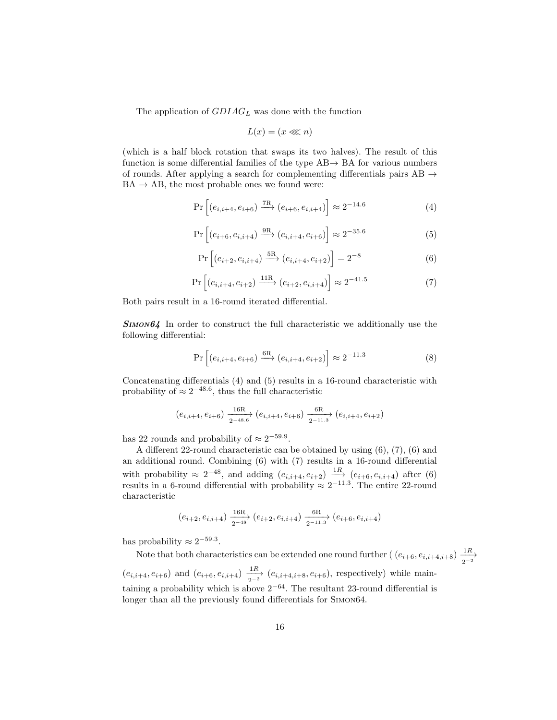The application of  $GDIAG_L$  was done with the function

$$
L(x) = (x \lll n)
$$

(which is a half block rotation that swaps its two halves). The result of this function is some differential families of the type  $AB \rightarrow BA$  for various numbers of rounds. After applying a search for complementing differentials pairs AB  $\rightarrow$  $BA \rightarrow AB$ , the most probable ones we found were:

$$
\Pr\left[ (e_{i,i+4}, e_{i+6}) \xrightarrow{\text{7R}} (e_{i+6}, e_{i,i+4}) \right] \approx 2^{-14.6} \tag{4}
$$

$$
\Pr\left[ (e_{i+6}, e_{i,i+4}) \xrightarrow{9R} (e_{i,i+4}, e_{i+6}) \right] \approx 2^{-35.6}
$$
 (5)

$$
Pr\left[(e_{i+2}, e_{i,i+4}) \xrightarrow{5R} (e_{i,i+4}, e_{i+2})\right] = 2^{-8}
$$
 (6)

$$
\Pr\left[ (e_{i,i+4}, e_{i+2}) \xrightarrow{11R} (e_{i+2}, e_{i,i+4}) \right] \approx 2^{-41.5}
$$
 (7)

Both pairs result in a 16-round iterated differential.

SIMON64 In order to construct the full characteristic we additionally use the following differential:

$$
\Pr\left[ (e_{i,i+4}, e_{i+6}) \xrightarrow{6R} (e_{i,i+4}, e_{i+2}) \right] \approx 2^{-11.3}
$$
 (8)

Concatenating differentials (4) and (5) results in a 16-round characteristic with probability of  $\approx 2^{-48.6}$ , thus the full characteristic

$$
\left(e_{i,i+4},e_{i+6}\right)\xrightarrow[2^{-48.6}]{16R}\left(e_{i,i+4},e_{i+6}\right)\xrightarrow[2^{-11.3}]{6R}\left(e_{i,i+4},e_{i+2}\right)
$$

has 22 rounds and probability of  $\approx 2^{-59.9}$ .

A different 22-round characteristic can be obtained by using (6), (7), (6) and an additional round. Combining (6) with (7) results in a 16-round differential with probability  $\approx 2^{-48}$ , and adding  $(e_{i,i+4}, e_{i+2}) \stackrel{1R}{\longrightarrow} (e_{i+6}, e_{i,i+4})$  after (6) results in a 6-round differential with probability  $\approx 2^{-11.3}$ . The entire 22-round characteristic

$$
(e_{i+2}, e_{i,i+4}) \xrightarrow[2^{-48}]{16R} (e_{i+2}, e_{i,i+4}) \xrightarrow[2^{-11.3}]{6R} (e_{i+6}, e_{i,i+4})
$$

has probability  $\approx 2^{-59.3}$ .

Note that both characteristics can be extended one round further ( $(e_{i+6}, e_{i,i+4,i+8}) \frac{1R}{2^{-2}}$ )  $(e_{i,i+4}, e_{i+6})$  and  $(e_{i+6}, e_{i,i+4}) \frac{1R}{2^{-2}} (e_{i,i+4,i+8}, e_{i+6})$ , respectively) while maintaining a probability which is above  $2^{-64}$ . The resultant 23-round differential is longer than all the previously found differentials for SIMON64.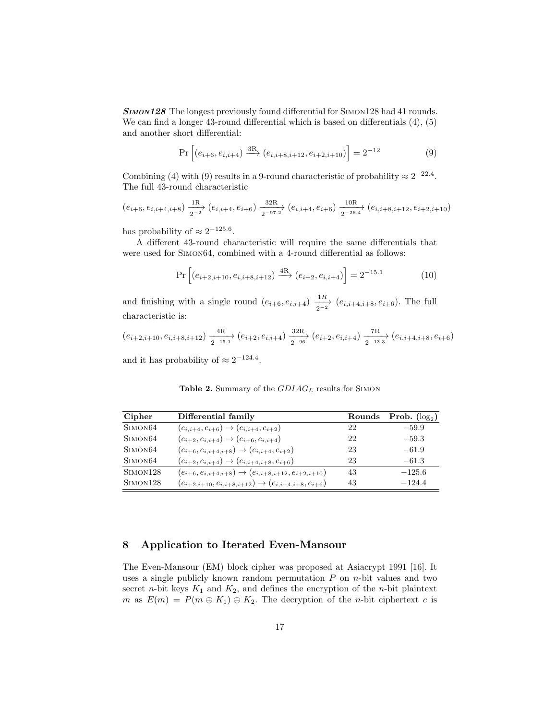SIMON128 The longest previously found differential for SIMON128 had 41 rounds. We can find a longer 43-round differential which is based on differentials (4), (5) and another short differential:

$$
\Pr\left[ (e_{i+6}, e_{i,i+4}) \xrightarrow{3R} (e_{i,i+8,i+12}, e_{i+2,i+10}) \right] = 2^{-12}
$$
 (9)

Combining (4) with (9) results in a 9-round characteristic of probability  $\approx 2^{-22.4}$ . The full 43-round characteristic

$$
\left(e_{i+6},e_{i,i+4,i+8}\right)\xrightarrow[2-2]{\text{1R}}\left(e_{i,i+4},e_{i+6}\right)\xrightarrow[2-97.2]{\text{32R}}\left(e_{i,i+4},e_{i+6}\right)\xrightarrow[2-26.4]{\text{10R}}\left(e_{i,i+8,i+12},e_{i+2,i+10}\right)
$$

has probability of  $\approx 2^{-125.6}$ .

A different 43-round characteristic will require the same differentials that were used for SIMON64, combined with a 4-round differential as follows:

$$
\Pr\left[ (e_{i+2,i+10}, e_{i,i+8,i+12}) \xrightarrow{4R} (e_{i+2}, e_{i,i+4}) \right] = 2^{-15.1}
$$
 (10)

and finishing with a single round  $(e_{i+6}, e_{i,i+4}) \frac{1R}{2^{-2}} (e_{i,i+4,i+8}, e_{i+6})$ . The full characteristic is:

$$
\left(e_{i+2,i+10},e_{i,i+8,i+12}\right)\xrightarrow[2-15.1]{4R} \left(e_{i+2},e_{i,i+4}\right)\xrightarrow[2-96]{32R} \left(e_{i+2},e_{i,i+4}\right)\xrightarrow[2-13.3]{7R} \left(e_{i,i+4,i+8},e_{i+6}\right)
$$

and it has probability of  $\approx 2^{-124.4}$ .

Table 2. Summary of the  $GDIAG_L$  results for SIMON

| Cipher               | Differential family                                                   | Rounds | <b>Prob.</b> $(\log_2)$ |
|----------------------|-----------------------------------------------------------------------|--------|-------------------------|
| SIMON64              | $(e_{i,i+4}, e_{i+6}) \rightarrow (e_{i,i+4}, e_{i+2})$               | 22     | $-59.9$                 |
| SIMON64              | $(e_{i+2}, e_{i,i+4}) \rightarrow (e_{i+6}, e_{i,i+4})$               | 22     | $-59.3$                 |
| SIMON64              | $(e_{i+6}, e_{i,i+4,i+8}) \rightarrow (e_{i,i+4}, e_{i+2})$           | 23     | $-61.9$                 |
| SIMON64              | $(e_{i+2}, e_{i,i+4}) \rightarrow (e_{i,i+4,i+8}, e_{i+6})$           | 23     | $-61.3$                 |
| SIMON <sub>128</sub> | $(e_{i+6}, e_{i,i+4,i+8}) \rightarrow (e_{i,i+8,i+12}, e_{i+2,i+10})$ | 43     | $-125.6$                |
| SIMON <sub>128</sub> | $(e_{i+2,i+10}, e_{i,i+8,i+12}) \rightarrow (e_{i,i+4,i+8}, e_{i+6})$ | 43     | $-124.4$                |

## 8 Application to Iterated Even-Mansour

The Even-Mansour (EM) block cipher was proposed at Asiacrypt 1991 [16]. It uses a single publicly known random permutation  $P$  on  $n$ -bit values and two secret *n*-bit keys  $K_1$  and  $K_2$ , and defines the encryption of the *n*-bit plaintext m as  $E(m) = P(m \oplus K_1) \oplus K_2$ . The decryption of the n-bit ciphertext c is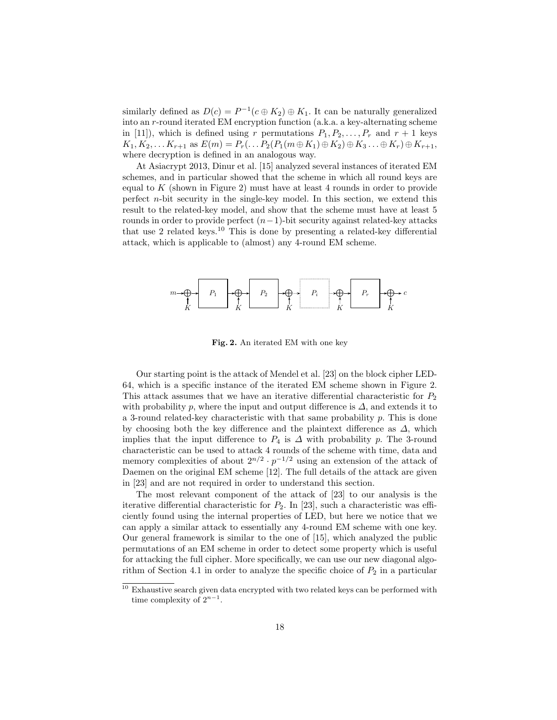similarly defined as  $D(c) = P^{-1}(c \oplus K_2) \oplus K_1$ . It can be naturally generalized into an r-round iterated EM encryption function (a.k.a. a key-alternating scheme in [11]), which is defined using r permutations  $P_1, P_2, \ldots, P_r$  and  $r + 1$  keys  $K_1, K_2, \ldots K_{r+1}$  as  $E(m) = P_r(\ldots P_2(P_1(m \oplus K_1) \oplus K_2) \oplus K_3 \ldots \oplus K_r) \oplus K_{r+1}$ , where decryption is defined in an analogous way.

At Asiacrypt 2013, Dinur et al. [15] analyzed several instances of iterated EM schemes, and in particular showed that the scheme in which all round keys are equal to  $K$  (shown in Figure 2) must have at least 4 rounds in order to provide perfect n-bit security in the single-key model. In this section, we extend this result to the related-key model, and show that the scheme must have at least 5 rounds in order to provide perfect  $(n-1)$ -bit security against related-key attacks that use 2 related keys.<sup>10</sup> This is done by presenting a related-key differential attack, which is applicable to (almost) any 4-round EM scheme.



Fig. 2. An iterated EM with one key

Our starting point is the attack of Mendel et al. [23] on the block cipher LED-64, which is a specific instance of the iterated EM scheme shown in Figure 2. This attack assumes that we have an iterative differential characteristic for  $P_2$ with probability p, where the input and output difference is  $\Delta$ , and extends it to a 3-round related-key characteristic with that same probability p. This is done by choosing both the key difference and the plaintext difference as  $\Delta$ , which implies that the input difference to  $P_4$  is  $\Delta$  with probability p. The 3-round characteristic can be used to attack 4 rounds of the scheme with time, data and memory complexities of about  $2^{n/2} \cdot p^{-1/2}$  using an extension of the attack of Daemen on the original EM scheme [12]. The full details of the attack are given in [23] and are not required in order to understand this section.

The most relevant component of the attack of [23] to our analysis is the iterative differential characteristic for  $P_2$ . In [23], such a characteristic was efficiently found using the internal properties of LED, but here we notice that we can apply a similar attack to essentially any 4-round EM scheme with one key. Our general framework is similar to the one of [15], which analyzed the public permutations of an EM scheme in order to detect some property which is useful for attacking the full cipher. More specifically, we can use our new diagonal algorithm of Section 4.1 in order to analyze the specific choice of  $P_2$  in a particular

 $10$  Exhaustive search given data encrypted with two related keys can be performed with time complexity of  $2^{n-1}$ .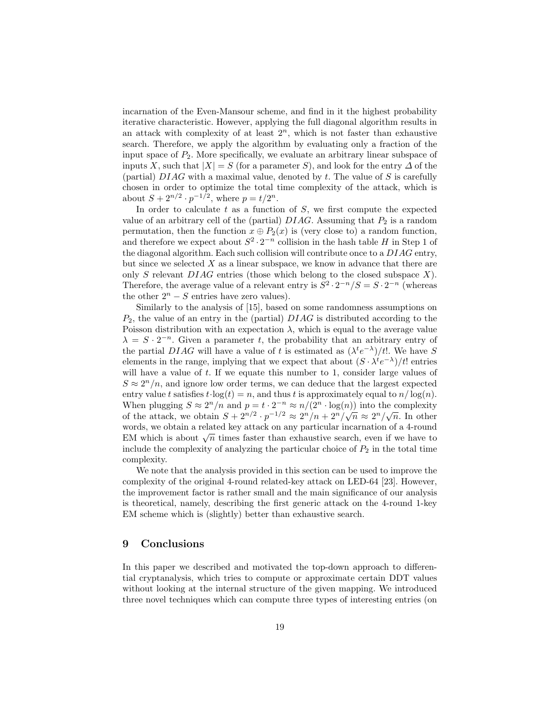incarnation of the Even-Mansour scheme, and find in it the highest probability iterative characteristic. However, applying the full diagonal algorithm results in an attack with complexity of at least  $2<sup>n</sup>$ , which is not faster than exhaustive search. Therefore, we apply the algorithm by evaluating only a fraction of the input space of  $P_2$ . More specifically, we evaluate an arbitrary linear subspace of inputs X, such that  $|X| = S$  (for a parameter S), and look for the entry  $\Delta$  of the (partial)  $DIAG$  with a maximal value, denoted by t. The value of S is carefully chosen in order to optimize the total time complexity of the attack, which is about  $S + 2^{n/2} \cdot p^{-1/2}$ , where  $p = t/2^n$ .

In order to calculate  $t$  as a function of  $S$ , we first compute the expected value of an arbitrary cell of the (partial)  $DIAG$ . Assuming that  $P_2$  is a random permutation, then the function  $x \oplus P_2(x)$  is (very close to) a random function, and therefore we expect about  $S^2 \cdot 2^{-n}$  collision in the hash table H in Step 1 of the diagonal algorithm. Each such collision will contribute once to a DIAG entry, but since we selected  $X$  as a linear subspace, we know in advance that there are only  $S$  relevant  $DIAG$  entries (those which belong to the closed subspace  $X$ ). Therefore, the average value of a relevant entry is  $S^2 \cdot 2^{-n}/S = S \cdot 2^{-n}$  (whereas the other  $2^n - S$  entries have zero values).

Similarly to the analysis of [15], based on some randomness assumptions on  $P_2$ , the value of an entry in the (partial)  $DIAG$  is distributed according to the Poisson distribution with an expectation  $\lambda$ , which is equal to the average value  $\lambda = S \cdot 2^{-n}$ . Given a parameter t, the probability that an arbitrary entry of the partial DIAG will have a value of t is estimated as  $(\lambda^t e^{-\lambda})/t!$ . We have S elements in the range, implying that we expect that about  $(S \cdot \lambda^t e^{-\lambda})/t!$  entries will have a value of  $t$ . If we equate this number to 1, consider large values of  $S \approx 2^n/n$ , and ignore low order terms, we can deduce that the largest expected entry value t satisfies  $t \cdot \log(t) = n$ , and thus t is approximately equal to  $n/\log(n)$ . When plugging  $S \approx 2^n/n$  and  $p = t \cdot 2^{-n} \approx n/(2^n \cdot \log(n))$  into the complexity of the attack, we obtain  $S + 2^{n/2} \cdot p^{-1/2} \approx 2^n/n + 2^n/\sqrt{n} \approx 2^n/\sqrt{n}$ . In other words, we obtain a related key attack on any particular incarnation of a 4-round words, we obtain a related key attack on any particular incarnation or a 4-round EM which is about  $\sqrt{n}$  times faster than exhaustive search, even if we have to include the complexity of analyzing the particular choice of  $P_2$  in the total time complexity.

We note that the analysis provided in this section can be used to improve the complexity of the original 4-round related-key attack on LED-64 [23]. However, the improvement factor is rather small and the main significance of our analysis is theoretical, namely, describing the first generic attack on the 4-round 1-key EM scheme which is (slightly) better than exhaustive search.

#### 9 Conclusions

In this paper we described and motivated the top-down approach to differential cryptanalysis, which tries to compute or approximate certain DDT values without looking at the internal structure of the given mapping. We introduced three novel techniques which can compute three types of interesting entries (on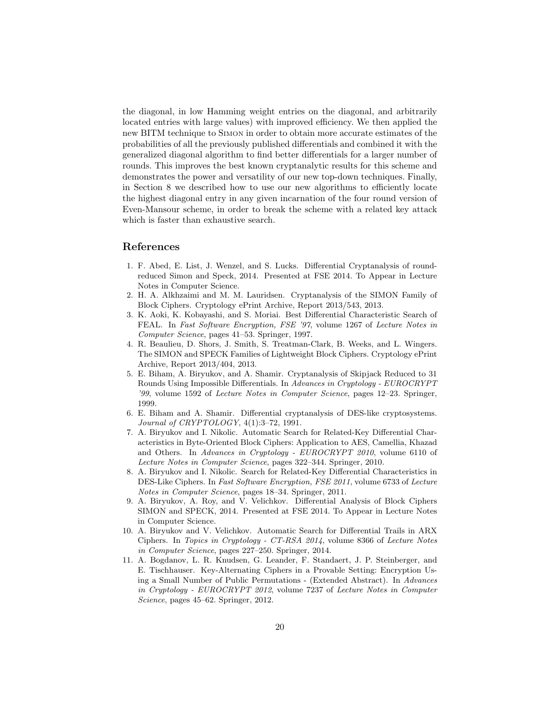the diagonal, in low Hamming weight entries on the diagonal, and arbitrarily located entries with large values) with improved efficiency. We then applied the new BITM technique to SIMON in order to obtain more accurate estimates of the probabilities of all the previously published differentials and combined it with the generalized diagonal algorithm to find better differentials for a larger number of rounds. This improves the best known cryptanalytic results for this scheme and demonstrates the power and versatility of our new top-down techniques. Finally, in Section 8 we described how to use our new algorithms to efficiently locate the highest diagonal entry in any given incarnation of the four round version of Even-Mansour scheme, in order to break the scheme with a related key attack which is faster than exhaustive search.

## References

- 1. F. Abed, E. List, J. Wenzel, and S. Lucks. Differential Cryptanalysis of roundreduced Simon and Speck, 2014. Presented at FSE 2014. To Appear in Lecture Notes in Computer Science.
- 2. H. A. Alkhzaimi and M. M. Lauridsen. Cryptanalysis of the SIMON Family of Block Ciphers. Cryptology ePrint Archive, Report 2013/543, 2013.
- 3. K. Aoki, K. Kobayashi, and S. Moriai. Best Differential Characteristic Search of FEAL. In Fast Software Encryption, FSE '97, volume 1267 of Lecture Notes in Computer Science, pages 41–53. Springer, 1997.
- 4. R. Beaulieu, D. Shors, J. Smith, S. Treatman-Clark, B. Weeks, and L. Wingers. The SIMON and SPECK Families of Lightweight Block Ciphers. Cryptology ePrint Archive, Report 2013/404, 2013.
- 5. E. Biham, A. Biryukov, and A. Shamir. Cryptanalysis of Skipjack Reduced to 31 Rounds Using Impossible Differentials. In Advances in Cryptology - EUROCRYPT '99, volume 1592 of Lecture Notes in Computer Science, pages 12–23. Springer, 1999.
- 6. E. Biham and A. Shamir. Differential cryptanalysis of DES-like cryptosystems. Journal of CRYPTOLOGY, 4(1):3–72, 1991.
- 7. A. Biryukov and I. Nikolic. Automatic Search for Related-Key Differential Characteristics in Byte-Oriented Block Ciphers: Application to AES, Camellia, Khazad and Others. In Advances in Cryptology - EUROCRYPT 2010, volume 6110 of Lecture Notes in Computer Science, pages 322–344. Springer, 2010.
- 8. A. Biryukov and I. Nikolic. Search for Related-Key Differential Characteristics in DES-Like Ciphers. In Fast Software Encryption, FSE 2011, volume 6733 of Lecture Notes in Computer Science, pages 18–34. Springer, 2011.
- 9. A. Biryukov, A. Roy, and V. Velichkov. Differential Analysis of Block Ciphers SIMON and SPECK, 2014. Presented at FSE 2014. To Appear in Lecture Notes in Computer Science.
- 10. A. Biryukov and V. Velichkov. Automatic Search for Differential Trails in ARX Ciphers. In Topics in Cryptology - CT-RSA 2014, volume 8366 of Lecture Notes in Computer Science, pages 227–250. Springer, 2014.
- 11. A. Bogdanov, L. R. Knudsen, G. Leander, F. Standaert, J. P. Steinberger, and E. Tischhauser. Key-Alternating Ciphers in a Provable Setting: Encryption Using a Small Number of Public Permutations - (Extended Abstract). In Advances in Cryptology - EUROCRYPT 2012, volume 7237 of Lecture Notes in Computer Science, pages 45–62. Springer, 2012.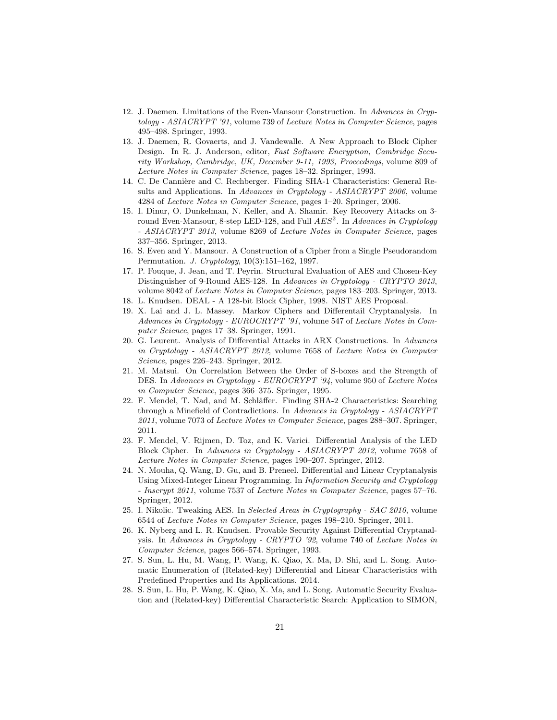- 12. J. Daemen. Limitations of the Even-Mansour Construction. In Advances in Cryptology - ASIACRYPT '91, volume 739 of Lecture Notes in Computer Science, pages 495–498. Springer, 1993.
- 13. J. Daemen, R. Govaerts, and J. Vandewalle. A New Approach to Block Cipher Design. In R. J. Anderson, editor, Fast Software Encryption, Cambridge Security Workshop, Cambridge, UK, December 9-11, 1993, Proceedings, volume 809 of Lecture Notes in Computer Science, pages 18–32. Springer, 1993.
- 14. C. De Cannière and C. Rechberger. Finding SHA-1 Characteristics: General Results and Applications. In Advances in Cryptology - ASIACRYPT 2006, volume 4284 of Lecture Notes in Computer Science, pages 1–20. Springer, 2006.
- 15. I. Dinur, O. Dunkelman, N. Keller, and A. Shamir. Key Recovery Attacks on 3 round Even-Mansour, 8-step LED-128, and Full  $AES^2$ . In Advances in Cryptology - ASIACRYPT 2013, volume 8269 of Lecture Notes in Computer Science, pages 337–356. Springer, 2013.
- 16. S. Even and Y. Mansour. A Construction of a Cipher from a Single Pseudorandom Permutation. J. Cryptology, 10(3):151–162, 1997.
- 17. P. Fouque, J. Jean, and T. Peyrin. Structural Evaluation of AES and Chosen-Key Distinguisher of 9-Round AES-128. In Advances in Cryptology - CRYPTO 2013, volume 8042 of Lecture Notes in Computer Science, pages 183–203. Springer, 2013.
- 18. L. Knudsen. DEAL A 128-bit Block Cipher, 1998. NIST AES Proposal.
- 19. X. Lai and J. L. Massey. Markov Ciphers and Differentail Cryptanalysis. In Advances in Cryptology - EUROCRYPT '91, volume 547 of Lecture Notes in Computer Science, pages 17–38. Springer, 1991.
- 20. G. Leurent. Analysis of Differential Attacks in ARX Constructions. In Advances in Cryptology - ASIACRYPT 2012, volume 7658 of Lecture Notes in Computer Science, pages 226–243. Springer, 2012.
- 21. M. Matsui. On Correlation Between the Order of S-boxes and the Strength of DES. In Advances in Cryptology - EUROCRYPT '94, volume 950 of Lecture Notes in Computer Science, pages 366–375. Springer, 1995.
- 22. F. Mendel, T. Nad, and M. Schläffer. Finding SHA-2 Characteristics: Searching through a Minefield of Contradictions. In Advances in Cryptology - ASIACRYPT 2011, volume 7073 of Lecture Notes in Computer Science, pages 288–307. Springer, 2011.
- 23. F. Mendel, V. Rijmen, D. Toz, and K. Varici. Differential Analysis of the LED Block Cipher. In Advances in Cryptology - ASIACRYPT 2012, volume 7658 of Lecture Notes in Computer Science, pages 190–207. Springer, 2012.
- 24. N. Mouha, Q. Wang, D. Gu, and B. Preneel. Differential and Linear Cryptanalysis Using Mixed-Integer Linear Programming. In Information Security and Cryptology - Inscrypt 2011, volume 7537 of Lecture Notes in Computer Science, pages 57–76. Springer, 2012.
- 25. I. Nikolic. Tweaking AES. In Selected Areas in Cryptography SAC 2010, volume 6544 of Lecture Notes in Computer Science, pages 198–210. Springer, 2011.
- 26. K. Nyberg and L. R. Knudsen. Provable Security Against Differential Cryptanalysis. In Advances in Cryptology - CRYPTO '92, volume 740 of Lecture Notes in Computer Science, pages 566–574. Springer, 1993.
- 27. S. Sun, L. Hu, M. Wang, P. Wang, K. Qiao, X. Ma, D. Shi, and L. Song. Automatic Enumeration of (Related-key) Differential and Linear Characteristics with Predefined Properties and Its Applications. 2014.
- 28. S. Sun, L. Hu, P. Wang, K. Qiao, X. Ma, and L. Song. Automatic Security Evaluation and (Related-key) Differential Characteristic Search: Application to SIMON,